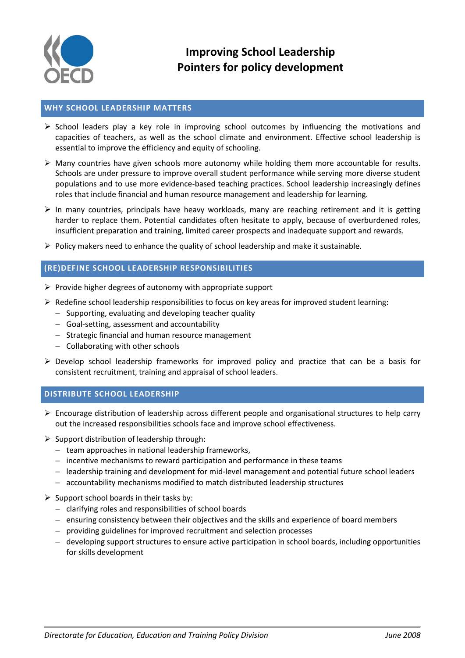

### **WHY SCHOOL LEADERSHIP MATTERS**

- $\triangleright$  School leaders play a key role in improving school outcomes by influencing the motivations and capacities of teachers, as well as the school climate and environment. Effective school leadership is essential to improve the efficiency and equity of schooling.
- Many countries have given schools more autonomy while holding them more accountable for results. Schools are under pressure to improve overall student performance while serving more diverse student populations and to use more evidence-based teaching practices. School leadership increasingly defines roles that include financial and human resource management and leadership for learning.
- $\triangleright$  In many countries, principals have heavy workloads, many are reaching retirement and it is getting harder to replace them. Potential candidates often hesitate to apply, because of overburdened roles, insufficient preparation and training, limited career prospects and inadequate support and rewards.
- $\triangleright$  Policy makers need to enhance the quality of school leadership and make it sustainable.

# **(RE)DEFINE SCHOOL LEADERSHIP RESPONSIBILITIES**

- $\triangleright$  Provide higher degrees of autonomy with appropriate support
- $\triangleright$  Redefine school leadership responsibilities to focus on key areas for improved student learning:
	- $-$  Supporting, evaluating and developing teacher quality
	- Goal-setting, assessment and accountability
	- $-$  Strategic financial and human resource management
	- $-$  Collaborating with other schools
- $\triangleright$  Develop school leadership frameworks for improved policy and practice that can be a basis for consistent recruitment, training and appraisal of school leaders.

# **DISTRIBUTE SCHOOL LEADERSHIP**

- $\triangleright$  Encourage distribution of leadership across different people and organisational structures to help carry out the increased responsibilities schools face and improve school effectiveness.
- $\triangleright$  Support distribution of leadership through:
	- $-$  team approaches in national leadership frameworks,
	- $i$  incentive mechanisms to reward participation and performance in these teams
	- leadership training and development for mid-level management and potential future school leaders
	- accountability mechanisms modified to match distributed leadership structures
- $\triangleright$  Support school boards in their tasks by:
	- $-$  clarifying roles and responsibilities of school boards
	- ensuring consistency between their objectives and the skills and experience of board members
	- providing guidelines for improved recruitment and selection processes
	- developing support structures to ensure active participation in school boards, including opportunities for skills development